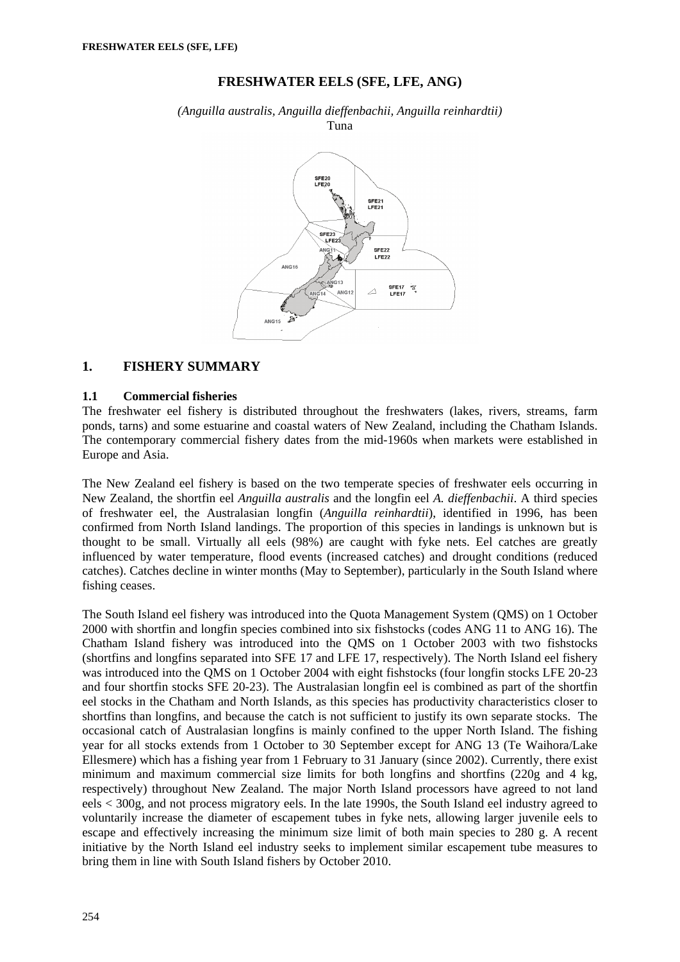# **FRESHWATER EELS (SFE, LFE, ANG)**

*(Anguilla australis, Anguilla dieffenbachii, Anguilla reinhardtii)*  Tuna



### **1. FISHERY SUMMARY**

### **1.1 Commercial fisheries**

The freshwater eel fishery is distributed throughout the freshwaters (lakes, rivers, streams, farm ponds, tarns) and some estuarine and coastal waters of New Zealand, including the Chatham Islands. The contemporary commercial fishery dates from the mid-1960s when markets were established in Europe and Asia.

The New Zealand eel fishery is based on the two temperate species of freshwater eels occurring in New Zealand, the shortfin eel *Anguilla australis* and the longfin eel *A. dieffenbachii*. A third species of freshwater eel, the Australasian longfin (*Anguilla reinhardtii*), identified in 1996, has been confirmed from North Island landings. The proportion of this species in landings is unknown but is thought to be small. Virtually all eels (98%) are caught with fyke nets. Eel catches are greatly influenced by water temperature, flood events (increased catches) and drought conditions (reduced catches). Catches decline in winter months (May to September), particularly in the South Island where fishing ceases.

The South Island eel fishery was introduced into the Quota Management System (QMS) on 1 October 2000 with shortfin and longfin species combined into six fishstocks (codes ANG 11 to ANG 16). The Chatham Island fishery was introduced into the QMS on 1 October 2003 with two fishstocks (shortfins and longfins separated into SFE 17 and LFE 17, respectively). The North Island eel fishery was introduced into the QMS on 1 October 2004 with eight fishstocks (four longfin stocks LFE 20-23 and four shortfin stocks SFE 20-23). The Australasian longfin eel is combined as part of the shortfin eel stocks in the Chatham and North Islands, as this species has productivity characteristics closer to shortfins than longfins, and because the catch is not sufficient to justify its own separate stocks. The occasional catch of Australasian longfins is mainly confined to the upper North Island. The fishing year for all stocks extends from 1 October to 30 September except for ANG 13 (Te Waihora/Lake Ellesmere) which has a fishing year from 1 February to 31 January (since 2002). Currently, there exist minimum and maximum commercial size limits for both longfins and shortfins (220g and 4 kg, respectively) throughout New Zealand. The major North Island processors have agreed to not land eels < 300g, and not process migratory eels. In the late 1990s, the South Island eel industry agreed to voluntarily increase the diameter of escapement tubes in fyke nets, allowing larger juvenile eels to escape and effectively increasing the minimum size limit of both main species to 280 g. A recent initiative by the North Island eel industry seeks to implement similar escapement tube measures to bring them in line with South Island fishers by October 2010.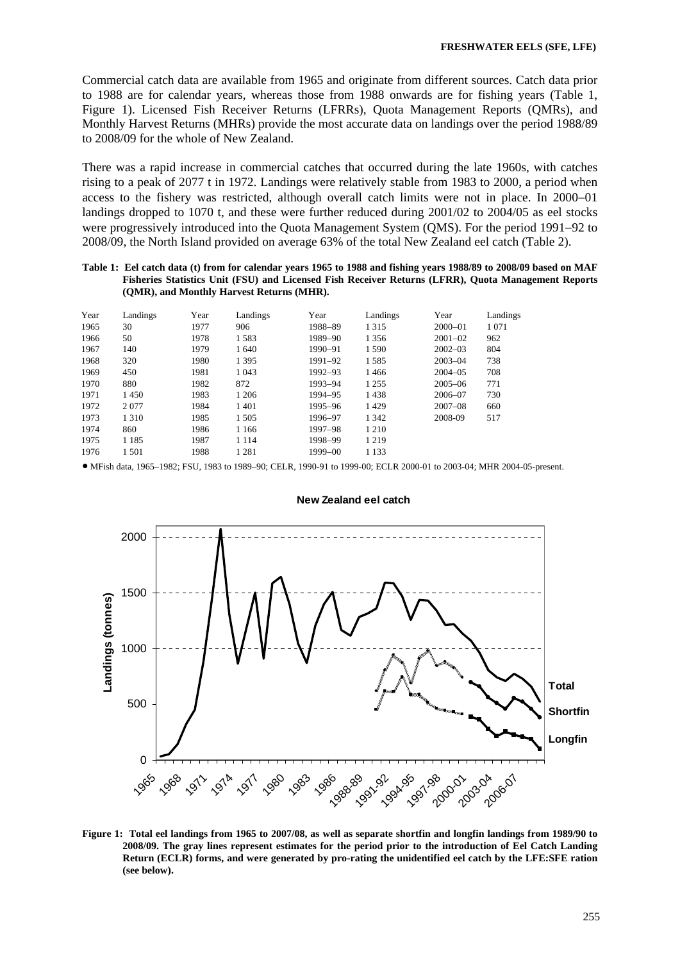Commercial catch data are available from 1965 and originate from different sources. Catch data prior to 1988 are for calendar years, whereas those from 1988 onwards are for fishing years (Table 1, Figure 1). Licensed Fish Receiver Returns (LFRRs), Quota Management Reports (QMRs), and Monthly Harvest Returns (MHRs) provide the most accurate data on landings over the period 1988/89 to 2008/09 for the whole of New Zealand.

There was a rapid increase in commercial catches that occurred during the late 1960s, with catches rising to a peak of 2077 t in 1972. Landings were relatively stable from 1983 to 2000, a period when access to the fishery was restricted, although overall catch limits were not in place. In 2000−01 landings dropped to 1070 t, and these were further reduced during 2001/02 to 2004/05 as eel stocks were progressively introduced into the Quota Management System (QMS). For the period 1991−92 to 2008/09, the North Island provided on average 63% of the total New Zealand eel catch (Table 2).

#### **Table 1: Eel catch data (t) from for calendar years 1965 to 1988 and fishing years 1988/89 to 2008/09 based on MAF Fisheries Statistics Unit (FSU) and Licensed Fish Receiver Returns (LFRR), Quota Management Reports (QMR), and Monthly Harvest Returns (MHR).**

| Year | Landings | Year | Landings | Year        | Landings | Year        | Landings |
|------|----------|------|----------|-------------|----------|-------------|----------|
| 1965 | 30       | 1977 | 906      | 1988-89     | 1 3 1 5  | $2000 - 01$ | 1071     |
| 1966 | 50       | 1978 | 1583     | 1989-90     | 1 3 5 6  | $2001 - 02$ | 962      |
| 1967 | 140      | 1979 | 1 640    | 1990-91     | 1 5 9 0  | $2002 - 03$ | 804      |
| 1968 | 320      | 1980 | 1 3 9 5  | 1991-92     | 1585     | $2003 - 04$ | 738      |
| 1969 | 450      | 1981 | 1 0 4 3  | 1992-93     | 1466     | $2004 - 05$ | 708      |
| 1970 | 880      | 1982 | 872      | 1993-94     | 1 2 5 5  | $2005 - 06$ | 771      |
| 1971 | 1450     | 1983 | 1 206    | 1994-95     | 1438     | 2006-07     | 730      |
| 1972 | 2077     | 1984 | 1401     | 1995-96     | 1429     | $2007 - 08$ | 660      |
| 1973 | 1 3 1 0  | 1985 | 1 5 0 5  | 1996-97     | 1 3 4 2  | 2008-09     | 517      |
| 1974 | 860      | 1986 | 1 1 6 6  | 1997-98     | 1 2 1 0  |             |          |
| 1975 | 1 1 8 5  | 1987 | 1 1 1 4  | 1998-99     | 1 2 1 9  |             |          |
| 1976 | 1 501    | 1988 | 1 281    | $1999 - 00$ | 1 1 3 3  |             |          |

• MFish data, 1965–1982; FSU, 1983 to 1989–90; CELR, 1990-91 to 1999-00; ECLR 2000-01 to 2003-04; MHR 2004-05-present.



#### **New Zealand eel catch**

**Figure 1: Total eel landings from 1965 to 2007/08, as well as separate shortfin and longfin landings from 1989/90 to 2008/09. The gray lines represent estimates for the period prior to the introduction of Eel Catch Landing Return (ECLR) forms, and were generated by pro-rating the unidentified eel catch by the LFE:SFE ration (see below).**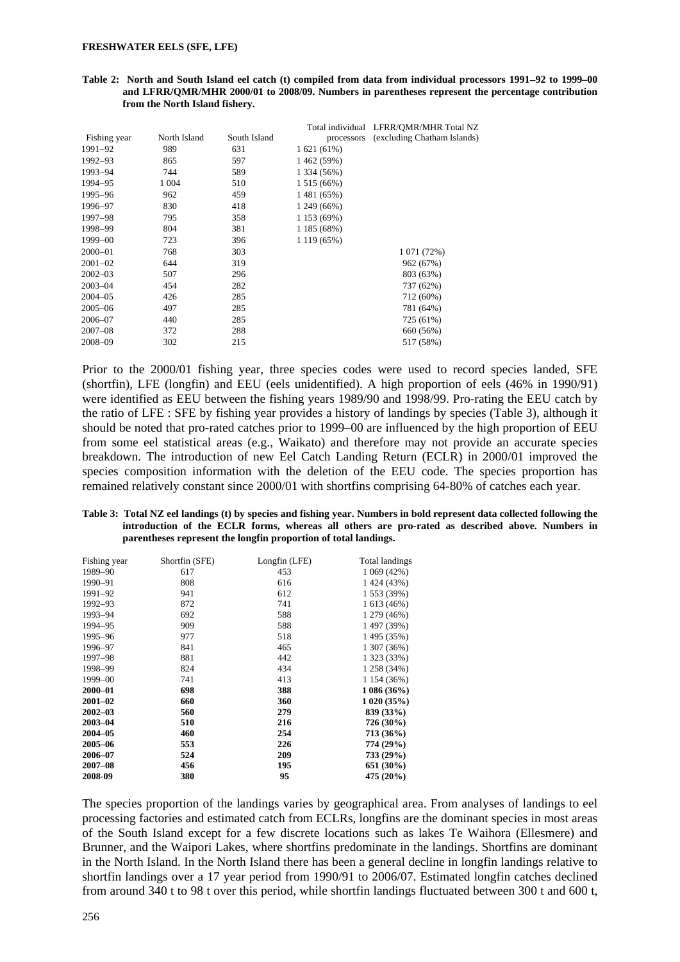#### **Table 2: North and South Island eel catch (t) compiled from data from individual processors 1991**−**92 to 1999–00 and LFRR/QMR/MHR 2000/01 to 2008/09. Numbers in parentheses represent the percentage contribution from the North Island fishery.**

| Fishing year<br>North Island<br>South Island<br>(excluding Chatham Islands)<br>processors<br>989<br>1991-92<br>631<br>1 621 (61%)<br>1992-93<br>865<br>597<br>1462 (59%)<br>1993-94<br>744<br>589<br>1 334 (56%)<br>1 0 0 4<br>1994-95<br>510<br>1 515 (66%)<br>962<br>1995–96<br>459<br>1 481 (65%)<br>830<br>418<br>1 249 (66%)<br>1996–97<br>1 153 (69%)<br>1997–98<br>795<br>358<br>1998-99<br>804<br>381<br>1 185 (68%)<br>1999-00<br>723<br>396<br>1 119 (65%)<br>$2000 - 01$<br>303<br>768<br>1 071 (72%)<br>$2001 - 02$<br>644<br>319<br>962 (67%)<br>$2002 - 03$<br>296<br>507<br>803 (63%)<br>$2003 - 04$<br>282<br>454<br>737 (62%)<br>285<br>$2004 - 05$<br>426<br>712 (60%)<br>$2005 - 06$<br>285<br>497<br>781 (64%)<br>285<br>2006-07<br>440<br>725 (61%)<br>288<br>$2007 - 08$<br>372<br>660 (56%) |         |     |     | Total individual LFRR/OMR/MHR Total NZ |
|--------------------------------------------------------------------------------------------------------------------------------------------------------------------------------------------------------------------------------------------------------------------------------------------------------------------------------------------------------------------------------------------------------------------------------------------------------------------------------------------------------------------------------------------------------------------------------------------------------------------------------------------------------------------------------------------------------------------------------------------------------------------------------------------------------------------|---------|-----|-----|----------------------------------------|
|                                                                                                                                                                                                                                                                                                                                                                                                                                                                                                                                                                                                                                                                                                                                                                                                                    |         |     |     |                                        |
|                                                                                                                                                                                                                                                                                                                                                                                                                                                                                                                                                                                                                                                                                                                                                                                                                    |         |     |     |                                        |
|                                                                                                                                                                                                                                                                                                                                                                                                                                                                                                                                                                                                                                                                                                                                                                                                                    |         |     |     |                                        |
|                                                                                                                                                                                                                                                                                                                                                                                                                                                                                                                                                                                                                                                                                                                                                                                                                    |         |     |     |                                        |
|                                                                                                                                                                                                                                                                                                                                                                                                                                                                                                                                                                                                                                                                                                                                                                                                                    |         |     |     |                                        |
|                                                                                                                                                                                                                                                                                                                                                                                                                                                                                                                                                                                                                                                                                                                                                                                                                    |         |     |     |                                        |
|                                                                                                                                                                                                                                                                                                                                                                                                                                                                                                                                                                                                                                                                                                                                                                                                                    |         |     |     |                                        |
|                                                                                                                                                                                                                                                                                                                                                                                                                                                                                                                                                                                                                                                                                                                                                                                                                    |         |     |     |                                        |
|                                                                                                                                                                                                                                                                                                                                                                                                                                                                                                                                                                                                                                                                                                                                                                                                                    |         |     |     |                                        |
|                                                                                                                                                                                                                                                                                                                                                                                                                                                                                                                                                                                                                                                                                                                                                                                                                    |         |     |     |                                        |
|                                                                                                                                                                                                                                                                                                                                                                                                                                                                                                                                                                                                                                                                                                                                                                                                                    |         |     |     |                                        |
|                                                                                                                                                                                                                                                                                                                                                                                                                                                                                                                                                                                                                                                                                                                                                                                                                    |         |     |     |                                        |
|                                                                                                                                                                                                                                                                                                                                                                                                                                                                                                                                                                                                                                                                                                                                                                                                                    |         |     |     |                                        |
|                                                                                                                                                                                                                                                                                                                                                                                                                                                                                                                                                                                                                                                                                                                                                                                                                    |         |     |     |                                        |
|                                                                                                                                                                                                                                                                                                                                                                                                                                                                                                                                                                                                                                                                                                                                                                                                                    |         |     |     |                                        |
|                                                                                                                                                                                                                                                                                                                                                                                                                                                                                                                                                                                                                                                                                                                                                                                                                    |         |     |     |                                        |
|                                                                                                                                                                                                                                                                                                                                                                                                                                                                                                                                                                                                                                                                                                                                                                                                                    |         |     |     |                                        |
|                                                                                                                                                                                                                                                                                                                                                                                                                                                                                                                                                                                                                                                                                                                                                                                                                    |         |     |     |                                        |
|                                                                                                                                                                                                                                                                                                                                                                                                                                                                                                                                                                                                                                                                                                                                                                                                                    | 2008-09 | 302 | 215 | 517 (58%)                              |

Prior to the 2000/01 fishing year, three species codes were used to record species landed, SFE (shortfin), LFE (longfin) and EEU (eels unidentified). A high proportion of eels (46% in 1990/91) were identified as EEU between the fishing years 1989/90 and 1998/99. Pro-rating the EEU catch by the ratio of LFE : SFE by fishing year provides a history of landings by species (Table 3), although it should be noted that pro-rated catches prior to 1999–00 are influenced by the high proportion of EEU from some eel statistical areas (e.g., Waikato) and therefore may not provide an accurate species breakdown. The introduction of new Eel Catch Landing Return (ECLR) in 2000/01 improved the species composition information with the deletion of the EEU code. The species proportion has remained relatively constant since 2000/01 with shortfins comprising 64-80% of catches each year.

**Table 3: Total NZ eel landings (t) by species and fishing year. Numbers in bold represent data collected following the introduction of the ECLR forms, whereas all others are pro-rated as described above. Numbers in parentheses represent the longfin proportion of total landings.** 

| Fishing year | Shortfin (SFE) | Longfin (LFE) | Total landings |
|--------------|----------------|---------------|----------------|
| 1989-90      | 617            | 453           | 1 069 (42%)    |
| 1990-91      | 808            | 616           | 1 424 (43%)    |
| 1991–92      | 941            | 612           | 1 553 (39%)    |
| 1992-93      | 872            | 741           | 1 613 (46%)    |
| 1993-94      | 692            | 588           | 1 279 (46%)    |
| 1994–95      | 909            | 588           | 1 497 (39%)    |
| 1995-96      | 977            | 518           | 1 495 (35%)    |
| 1996-97      | 841            | 465           | 1 307 (36%)    |
| 1997-98      | 881            | 442           | 1 323 (33%)    |
| 1998-99      | 824            | 434           | 1 258 (34%)    |
| 1999-00      | 741            | 413           | 1 154 (36%)    |
| 2000-01      | 698            | 388           | 1086(36%)      |
| $2001 - 02$  | 660            | 360           | 1020(35%)      |
| $2002 - 03$  | 560            | 279           | 839 (33%)      |
| $2003 - 04$  | 510            | 216           | 726 (30%)      |
| $2004 - 05$  | 460            | 254           | 713 (36%)      |
| 2005-06      | 553            | 226           | 774 (29%)      |
| 2006-07      | 524            | 209           | 733 (29%)      |
| $2007 - 08$  | 456            | 195           | 651 (30%)      |
| 2008-09      | 380            | 95            | 475 (20%)      |

The species proportion of the landings varies by geographical area. From analyses of landings to eel processing factories and estimated catch from ECLRs, longfins are the dominant species in most areas of the South Island except for a few discrete locations such as lakes Te Waihora (Ellesmere) and Brunner, and the Waipori Lakes, where shortfins predominate in the landings. Shortfins are dominant in the North Island. In the North Island there has been a general decline in longfin landings relative to shortfin landings over a 17 year period from 1990/91 to 2006/07. Estimated longfin catches declined from around 340 t to 98 t over this period, while shortfin landings fluctuated between 300 t and 600 t,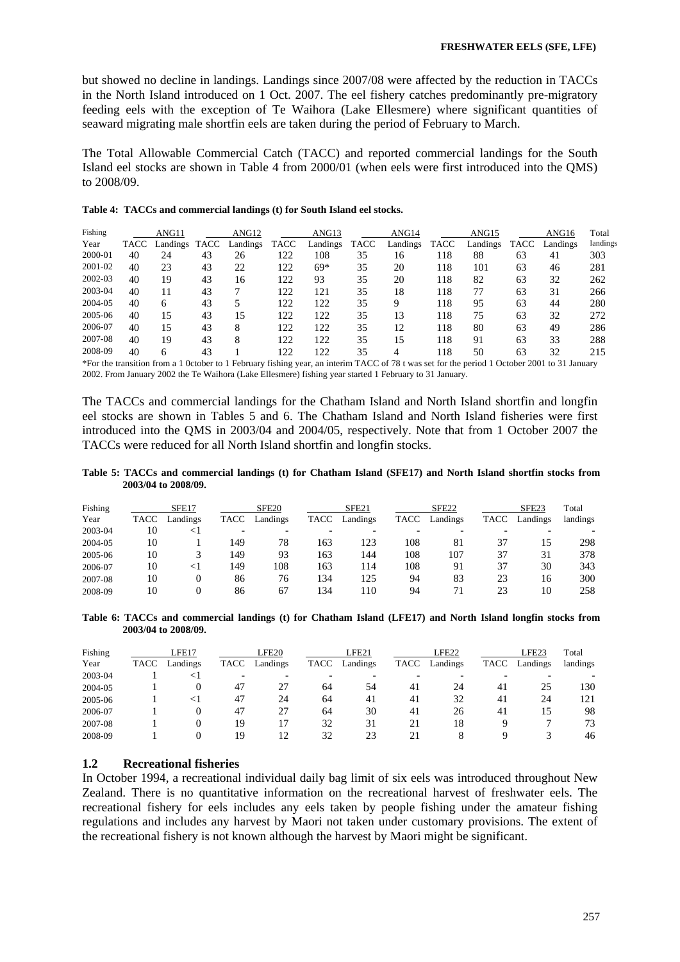but showed no decline in landings. Landings since 2007/08 were affected by the reduction in TACCs in the North Island introduced on 1 Oct. 2007. The eel fishery catches predominantly pre-migratory feeding eels with the exception of Te Waihora (Lake Ellesmere) where significant quantities of seaward migrating male shortfin eels are taken during the period of February to March.

The Total Allowable Commercial Catch (TACC) and reported commercial landings for the South Island eel stocks are shown in Table 4 from 2000/01 (when eels were first introduced into the QMS) to 2008/09.

|  | Table 4: TACCs and commercial landings (t) for South Island eel stocks. |  |  |  |  |  |  |
|--|-------------------------------------------------------------------------|--|--|--|--|--|--|
|--|-------------------------------------------------------------------------|--|--|--|--|--|--|

| Fishing |      | ANG11    |      | ANG <sub>12</sub> |             | ANG13    |      | ANG14    |      | ANG15    |             | ANG16    | Total    |
|---------|------|----------|------|-------------------|-------------|----------|------|----------|------|----------|-------------|----------|----------|
| Year    | TACC | Landings | TACC | Landings          | <b>TACC</b> | Landings | TACC | Landings | TACC | Landings | <b>TACC</b> | Landings | landings |
| 2000-01 | 40   | 24       | 43   | 26                | 122         | 108      | 35   | 16       | 118  | 88       | 63          | 41       | 303      |
| 2001-02 | 40   | 23       | 43   | 22                | 122         | $69*$    | 35   | 20       | 118  | 101      | 63          | 46       | 281      |
| 2002-03 | 40   | 19       | 43   | 16                | 122         | 93       | 35   | 20       | 118  | 82       | 63          | 32       | 262      |
| 2003-04 | 40   | 11       | 43   |                   | 122         | 121      | 35   | 18       | 118  | 77       | 63          | 31       | 266      |
| 2004-05 | 40   | 6        | 43   |                   | 122         | 122      | 35   | 9        | 118  | 95       | 63          | 44       | 280      |
| 2005-06 | 40   | 15       | 43   | 15                | 122         | 122      | 35   | 13       | 118  | 75       | 63          | 32       | 272      |
| 2006-07 | 40   | 15       | 43   | 8                 | 122         | 122      | 35   | 12       | 118  | 80       | 63          | 49       | 286      |
| 2007-08 | 40   | 19       | 43   | 8                 | 122         | 122      | 35   | 15       | 118  | 91       | 63          | 33       | 288      |
| 2008-09 | 40   | 6        | 43   |                   | 122         | 122      | 35   | 4        | 118  | 50       | 63          | 32       | 215      |
|         |      |          |      |                   |             |          |      |          |      |          |             |          |          |

\*For the transition from a 1 0ctober to 1 February fishing year, an interim TACC of 78 t was set for the period 1 October 2001 to 31 January 2002. From January 2002 the Te Waihora (Lake Ellesmere) fishing year started 1 February to 31 January.

The TACCs and commercial landings for the Chatham Island and North Island shortfin and longfin eel stocks are shown in Tables 5 and 6. The Chatham Island and North Island fisheries were first introduced into the QMS in 2003/04 and 2004/05, respectively. Note that from 1 October 2007 the TACCs were reduced for all North Island shortfin and longfin stocks.

**Table 5: TACCs and commercial landings (t) for Chatham Island (SFE17) and North Island shortfin stocks from 2003/04 to 2008/09.**

| Fishing<br>Year | TACC | SFE17<br>Landings | TACC | SFE <sub>20</sub><br>Landings | <b>TACC</b> | SFE <sub>21</sub><br>Landings | TACC | SFE <sub>22</sub><br>Landings | TACC | SFE <sub>23</sub><br>Landings | Total<br>landings |
|-----------------|------|-------------------|------|-------------------------------|-------------|-------------------------------|------|-------------------------------|------|-------------------------------|-------------------|
| 2003-04         | 10   | $\leq$            | -    |                               |             |                               |      |                               |      |                               |                   |
| 2004-05         | 10   |                   | 149  | 78                            | 163         | 123                           | 108  | 81                            | 37   | 15                            | 298               |
| 2005-06         | 10   |                   | 149  | 93                            | 163         | 144                           | 108  | 107                           | 37   | 31                            | 378               |
| 2006-07         | 10   | $\leq$            | 149  | 108                           | 163         | 114                           | 108  | 91                            | 37   | 30                            | 343               |
| 2007-08         | 10   |                   | 86   | 76                            | .34         | 125                           | 94   | 83                            | 23   | 16                            | 300               |
| 2008-09         | 10   |                   | 86   | 67                            | 34          | 110                           | 94   | 71                            | 23   | 10                            | 258               |

**Table 6: TACCs and commercial landings (t) for Chatham Island (LFE17) and North Island longfin stocks from 2003/04 to 2008/09.** 

| Fishing<br>Year | TACC | LFE17<br>Landings | TACC                     | LFE20<br>Landings | <b>TACC</b> | LFE21<br>Landings | TACC | LFE22<br>Landings | TACC | LFE23<br>Landings | Total<br>landings |
|-----------------|------|-------------------|--------------------------|-------------------|-------------|-------------------|------|-------------------|------|-------------------|-------------------|
| 2003-04         |      | $\leq$ 1          | $\overline{\phantom{0}}$ |                   |             |                   |      |                   |      |                   |                   |
| 2004-05         |      |                   | 47                       | 27                | 64          | 54                | 41   | 24                | 41   | 25                | 130               |
| 2005-06         |      | <1                | 47                       | 24                | 64          | 41                | 41   | 32                | 41   | 24                | 121               |
| 2006-07         |      |                   | 47                       | 27                | 64          | 30                | 41   | 26                | 41   | 15                | 98                |
| 2007-08         |      |                   | 19                       |                   | 32          | 31                | 21   | 18                |      |                   | 73                |
| 2008-09         |      |                   | 19                       | 12                | 32          | 23                | 21   |                   |      |                   | 46                |

### **1.2 Recreational fisheries**

In October 1994, a recreational individual daily bag limit of six eels was introduced throughout New Zealand. There is no quantitative information on the recreational harvest of freshwater eels. The recreational fishery for eels includes any eels taken by people fishing under the amateur fishing regulations and includes any harvest by Maori not taken under customary provisions. The extent of the recreational fishery is not known although the harvest by Maori might be significant.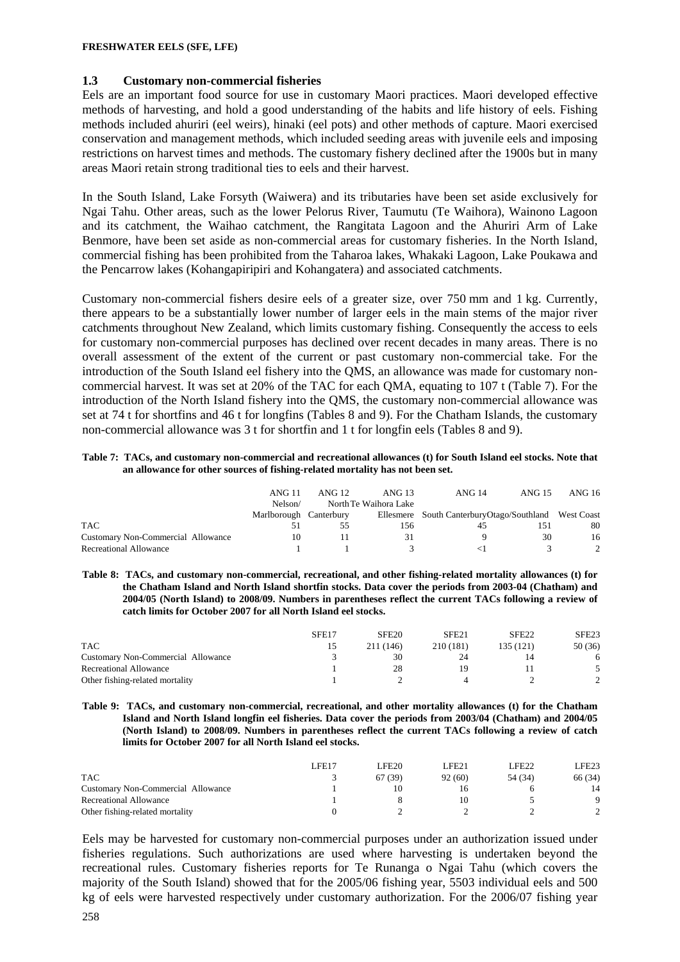### **1.3 Customary non-commercial fisheries**

Eels are an important food source for use in customary Maori practices. Maori developed effective methods of harvesting, and hold a good understanding of the habits and life history of eels. Fishing methods included ahuriri (eel weirs), hinaki (eel pots) and other methods of capture. Maori exercised conservation and management methods, which included seeding areas with juvenile eels and imposing restrictions on harvest times and methods. The customary fishery declined after the 1900s but in many areas Maori retain strong traditional ties to eels and their harvest.

In the South Island, Lake Forsyth (Waiwera) and its tributaries have been set aside exclusively for Ngai Tahu. Other areas, such as the lower Pelorus River, Taumutu (Te Waihora), Wainono Lagoon and its catchment, the Waihao catchment, the Rangitata Lagoon and the Ahuriri Arm of Lake Benmore, have been set aside as non-commercial areas for customary fisheries. In the North Island, commercial fishing has been prohibited from the Taharoa lakes, Whakaki Lagoon, Lake Poukawa and the Pencarrow lakes (Kohangapiripiri and Kohangatera) and associated catchments.

Customary non-commercial fishers desire eels of a greater size, over 750 mm and 1 kg. Currently, there appears to be a substantially lower number of larger eels in the main stems of the major river catchments throughout New Zealand, which limits customary fishing. Consequently the access to eels for customary non-commercial purposes has declined over recent decades in many areas. There is no overall assessment of the extent of the current or past customary non-commercial take. For the introduction of the South Island eel fishery into the QMS, an allowance was made for customary noncommercial harvest. It was set at 20% of the TAC for each QMA, equating to 107 t (Table 7). For the introduction of the North Island fishery into the QMS, the customary non-commercial allowance was set at 74 t for shortfins and 46 t for longfins (Tables 8 and 9). For the Chatham Islands, the customary non-commercial allowance was 3 t for shortfin and 1 t for longfin eels (Tables 8 and 9).

#### **Table 7: TACs, and customary non-commercial and recreational allowances (t) for South Island eel stocks. Note that an allowance for other sources of fishing-related mortality has not been set.**

|                                    | ANG 11                 | ANG 12 | ANG 13                | ANG 14                                                | ANG 15 | ANG 16 |
|------------------------------------|------------------------|--------|-----------------------|-------------------------------------------------------|--------|--------|
|                                    | Nelson/                |        | North Te Waihora Lake |                                                       |        |        |
|                                    | Marlborough Canterbury |        |                       | Ellesmere South Canterbury Otago/Southland West Coast |        |        |
| <b>TAC</b>                         |                        |        | 156                   | 45                                                    |        | 80     |
| Customary Non-Commercial Allowance |                        |        | 31                    |                                                       | 30     | 16     |
| Recreational Allowance             |                        |        |                       |                                                       |        |        |

**Table 8: TACs, and customary non-commercial, recreational, and other fishing-related mortality allowances (t) for the Chatham Island and North Island shortfin stocks. Data cover the periods from 2003-04 (Chatham) and 2004/05 (North Island) to 2008/09. Numbers in parentheses reflect the current TACs following a review of catch limits for October 2007 for all North Island eel stocks.**

|                                    | SFE <sub>17</sub> | SFE <sub>20</sub> | SFE21     | SFE <sub>22</sub> | SFE <sub>23</sub> |
|------------------------------------|-------------------|-------------------|-----------|-------------------|-------------------|
| <b>TAC</b>                         |                   | 211 (146)         | 210 (181) | 135 (121)         | 50(36)            |
| Customary Non-Commercial Allowance |                   | 30                |           |                   |                   |
| Recreational Allowance             |                   | 28                | <b>Q</b>  |                   |                   |
| Other fishing-related mortality    |                   |                   |           |                   |                   |

**Table 9: TACs, and customary non-commercial, recreational, and other mortality allowances (t) for the Chatham Island and North Island longfin eel fisheries. Data cover the periods from 2003/04 (Chatham) and 2004/05 (North Island) to 2008/09. Numbers in parentheses reflect the current TACs following a review of catch limits for October 2007 for all North Island eel stocks.**

|                                    | LFE17 | LFE20   | LFE21   | LFE22   | LFE23   |
|------------------------------------|-------|---------|---------|---------|---------|
| <b>TAC</b>                         |       | 67 (39) | 92 (60) | 54 (34) | 66 (34) |
| Customary Non-Commercial Allowance |       |         |         |         | 14      |
| Recreational Allowance             |       |         | l ()    |         | Q       |
| Other fishing-related mortality    |       |         |         |         |         |

Eels may be harvested for customary non-commercial purposes under an authorization issued under fisheries regulations. Such authorizations are used where harvesting is undertaken beyond the recreational rules. Customary fisheries reports for Te Runanga o Ngai Tahu (which covers the majority of the South Island) showed that for the 2005/06 fishing year, 5503 individual eels and 500 kg of eels were harvested respectively under customary authorization. For the 2006/07 fishing year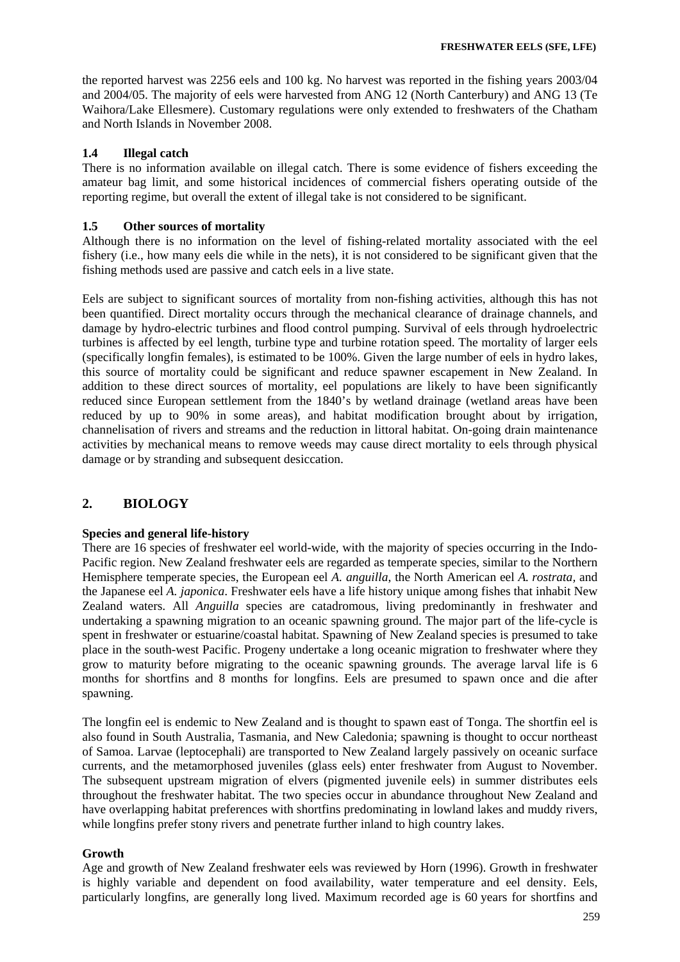the reported harvest was 2256 eels and 100 kg. No harvest was reported in the fishing years 2003/04 and 2004/05. The majority of eels were harvested from ANG 12 (North Canterbury) and ANG 13 (Te Waihora/Lake Ellesmere). Customary regulations were only extended to freshwaters of the Chatham and North Islands in November 2008.

# **1.4 Illegal catch**

There is no information available on illegal catch. There is some evidence of fishers exceeding the amateur bag limit, and some historical incidences of commercial fishers operating outside of the reporting regime, but overall the extent of illegal take is not considered to be significant.

### **1.5 Other sources of mortality**

Although there is no information on the level of fishing-related mortality associated with the eel fishery (i.e., how many eels die while in the nets), it is not considered to be significant given that the fishing methods used are passive and catch eels in a live state.

Eels are subject to significant sources of mortality from non-fishing activities, although this has not been quantified. Direct mortality occurs through the mechanical clearance of drainage channels, and damage by hydro-electric turbines and flood control pumping. Survival of eels through hydroelectric turbines is affected by eel length, turbine type and turbine rotation speed. The mortality of larger eels (specifically longfin females), is estimated to be 100%. Given the large number of eels in hydro lakes, this source of mortality could be significant and reduce spawner escapement in New Zealand. In addition to these direct sources of mortality, eel populations are likely to have been significantly reduced since European settlement from the 1840's by wetland drainage (wetland areas have been reduced by up to 90% in some areas), and habitat modification brought about by irrigation, channelisation of rivers and streams and the reduction in littoral habitat. On-going drain maintenance activities by mechanical means to remove weeds may cause direct mortality to eels through physical damage or by stranding and subsequent desiccation.

# **2. BIOLOGY**

### **Species and general life-history**

There are 16 species of freshwater eel world-wide, with the majority of species occurring in the Indo-Pacific region. New Zealand freshwater eels are regarded as temperate species, similar to the Northern Hemisphere temperate species, the European eel *A. anguilla*, the North American eel *A. rostrata,* and the Japanese eel *A. japonica*. Freshwater eels have a life history unique among fishes that inhabit New Zealand waters. All *Anguilla* species are catadromous, living predominantly in freshwater and undertaking a spawning migration to an oceanic spawning ground. The major part of the life-cycle is spent in freshwater or estuarine/coastal habitat. Spawning of New Zealand species is presumed to take place in the south-west Pacific. Progeny undertake a long oceanic migration to freshwater where they grow to maturity before migrating to the oceanic spawning grounds. The average larval life is 6 months for shortfins and 8 months for longfins. Eels are presumed to spawn once and die after spawning.

The longfin eel is endemic to New Zealand and is thought to spawn east of Tonga. The shortfin eel is also found in South Australia, Tasmania, and New Caledonia; spawning is thought to occur northeast of Samoa. Larvae (leptocephali) are transported to New Zealand largely passively on oceanic surface currents, and the metamorphosed juveniles (glass eels) enter freshwater from August to November. The subsequent upstream migration of elvers (pigmented juvenile eels) in summer distributes eels throughout the freshwater habitat. The two species occur in abundance throughout New Zealand and have overlapping habitat preferences with shortfins predominating in lowland lakes and muddy rivers, while longfins prefer stony rivers and penetrate further inland to high country lakes.

### **Growth**

Age and growth of New Zealand freshwater eels was reviewed by Horn (1996). Growth in freshwater is highly variable and dependent on food availability, water temperature and eel density. Eels, particularly longfins, are generally long lived. Maximum recorded age is 60 years for shortfins and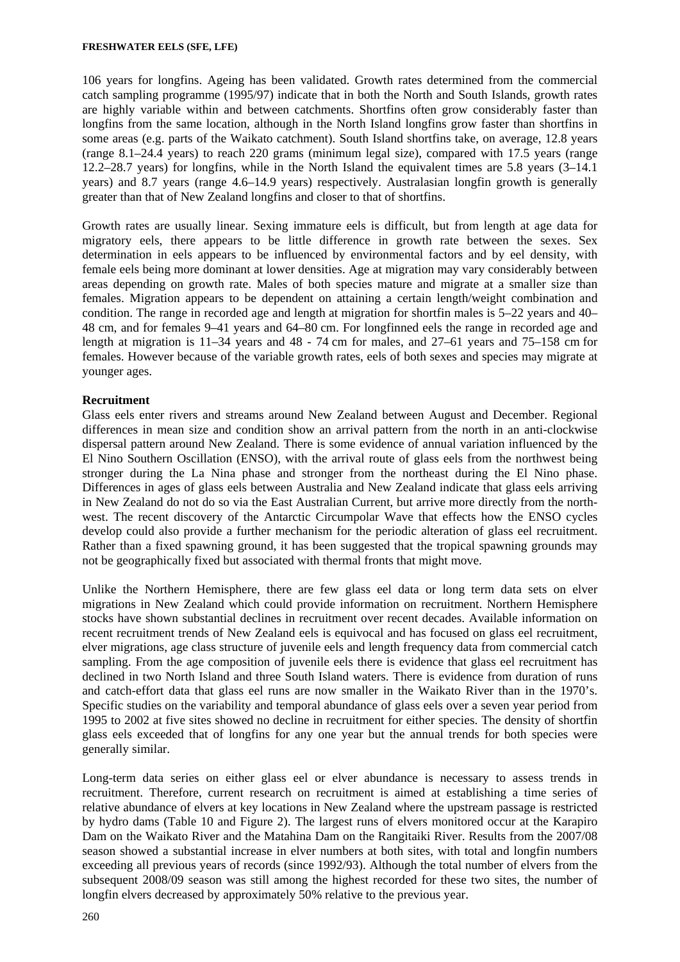106 years for longfins. Ageing has been validated. Growth rates determined from the commercial catch sampling programme (1995/97) indicate that in both the North and South Islands, growth rates are highly variable within and between catchments. Shortfins often grow considerably faster than longfins from the same location, although in the North Island longfins grow faster than shortfins in some areas (e.g. parts of the Waikato catchment). South Island shortfins take, on average, 12.8 years (range 8.1–24.4 years) to reach 220 grams (minimum legal size), compared with 17.5 years (range 12.2–28.7 years) for longfins, while in the North Island the equivalent times are 5.8 years (3–14.1 years) and 8.7 years (range 4.6–14.9 years) respectively. Australasian longfin growth is generally greater than that of New Zealand longfins and closer to that of shortfins.

Growth rates are usually linear. Sexing immature eels is difficult, but from length at age data for migratory eels, there appears to be little difference in growth rate between the sexes. Sex determination in eels appears to be influenced by environmental factors and by eel density, with female eels being more dominant at lower densities. Age at migration may vary considerably between areas depending on growth rate. Males of both species mature and migrate at a smaller size than females. Migration appears to be dependent on attaining a certain length/weight combination and condition. The range in recorded age and length at migration for shortfin males is 5–22 years and 40– 48 cm, and for females 9–41 years and 64–80 cm. For longfinned eels the range in recorded age and length at migration is 11–34 years and 48 - 74 cm for males, and 27–61 years and 75–158 cm for females. However because of the variable growth rates, eels of both sexes and species may migrate at younger ages.

# **Recruitment**

Glass eels enter rivers and streams around New Zealand between August and December. Regional differences in mean size and condition show an arrival pattern from the north in an anti-clockwise dispersal pattern around New Zealand. There is some evidence of annual variation influenced by the El Nino Southern Oscillation (ENSO), with the arrival route of glass eels from the northwest being stronger during the La Nina phase and stronger from the northeast during the El Nino phase. Differences in ages of glass eels between Australia and New Zealand indicate that glass eels arriving in New Zealand do not do so via the East Australian Current, but arrive more directly from the northwest. The recent discovery of the Antarctic Circumpolar Wave that effects how the ENSO cycles develop could also provide a further mechanism for the periodic alteration of glass eel recruitment. Rather than a fixed spawning ground, it has been suggested that the tropical spawning grounds may not be geographically fixed but associated with thermal fronts that might move.

Unlike the Northern Hemisphere, there are few glass eel data or long term data sets on elver migrations in New Zealand which could provide information on recruitment. Northern Hemisphere stocks have shown substantial declines in recruitment over recent decades. Available information on recent recruitment trends of New Zealand eels is equivocal and has focused on glass eel recruitment, elver migrations, age class structure of juvenile eels and length frequency data from commercial catch sampling. From the age composition of juvenile eels there is evidence that glass eel recruitment has declined in two North Island and three South Island waters. There is evidence from duration of runs and catch-effort data that glass eel runs are now smaller in the Waikato River than in the 1970's. Specific studies on the variability and temporal abundance of glass eels over a seven year period from 1995 to 2002 at five sites showed no decline in recruitment for either species. The density of shortfin glass eels exceeded that of longfins for any one year but the annual trends for both species were generally similar.

Long-term data series on either glass eel or elver abundance is necessary to assess trends in recruitment. Therefore, current research on recruitment is aimed at establishing a time series of relative abundance of elvers at key locations in New Zealand where the upstream passage is restricted by hydro dams (Table 10 and Figure 2). The largest runs of elvers monitored occur at the Karapiro Dam on the Waikato River and the Matahina Dam on the Rangitaiki River. Results from the 2007/08 season showed a substantial increase in elver numbers at both sites, with total and longfin numbers exceeding all previous years of records (since 1992/93). Although the total number of elvers from the subsequent 2008/09 season was still among the highest recorded for these two sites, the number of longfin elvers decreased by approximately 50% relative to the previous year.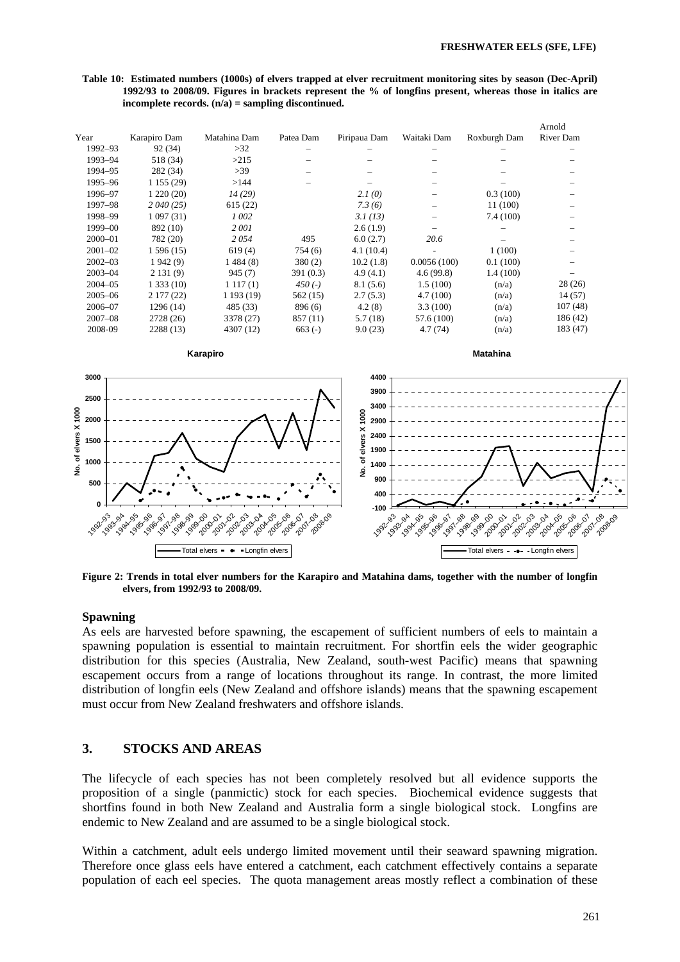$\overline{\phantom{a}}$ 

**Table 10: Estimated numbers (1000s) of elvers trapped at elver recruitment monitoring sites by season (Dec-April) 1992/93 to 2008/09. Figures in brackets represent the % of longfins present, whereas those in italics are incomplete records. (n/a) = sampling discontinued.** 

|                           |                                                     |                                                                |                                   |                       |                                                             |                                                     | Arnoid                                                  |  |
|---------------------------|-----------------------------------------------------|----------------------------------------------------------------|-----------------------------------|-----------------------|-------------------------------------------------------------|-----------------------------------------------------|---------------------------------------------------------|--|
| Year                      | Karapiro Dam                                        | Matahina Dam                                                   | Patea Dam                         | Piripaua Dam          | Waitaki Dam                                                 | Roxburgh Dam                                        | <b>River Dam</b>                                        |  |
| 1992-93                   | 92(34)                                              | $>32$                                                          |                                   |                       |                                                             |                                                     |                                                         |  |
| 1993-94                   | 518 (34)                                            | >215                                                           |                                   |                       |                                                             |                                                     |                                                         |  |
| 1994-95                   | 282 (34)                                            | >39                                                            |                                   |                       |                                                             |                                                     |                                                         |  |
| 1995-96                   | 1 155 (29)                                          | >144                                                           |                                   |                       |                                                             |                                                     |                                                         |  |
| 1996-97                   | 1220(20)                                            | 14(29)                                                         |                                   | 2.1(0)                |                                                             | 0.3(100)                                            |                                                         |  |
| 1997-98                   | 2040(25)                                            | 615(22)                                                        |                                   | 7.3(6)                |                                                             | 11 (100)                                            |                                                         |  |
| 1998-99                   | 1097(31)                                            | 1 002                                                          |                                   | 3.1(13)               |                                                             | 7.4(100)                                            |                                                         |  |
| 1999-00                   | 892 (10)                                            | 2001                                                           |                                   | 2.6(1.9)              |                                                             |                                                     |                                                         |  |
| $2000 - 01$               | 782 (20)                                            | 2054                                                           | 495                               | 6.0(2.7)              | 20.6                                                        |                                                     |                                                         |  |
| $2001 - 02$               | 1596(15)                                            | 619(4)                                                         | 754(6)                            | 4.1(10.4)             |                                                             | 1(100)                                              |                                                         |  |
| $2002 - 03$               | 1942(9)                                             | 1484(8)                                                        | 380(2)                            | 10.2(1.8)             | 0.0056(100)                                                 | 0.1(100)                                            |                                                         |  |
| $2003 - 04$               | 2131(9)                                             | 945(7)                                                         | 391(0.3)                          | 4.9(4.1)              | 4.6(99.8)                                                   | 1.4(100)                                            |                                                         |  |
| $2004 - 05$               | 1333(10)                                            | 1117(1)                                                        | 450 $(-)$                         | 8.1(5.6)              | 1.5(100)                                                    | (n/a)                                               | 28(26)                                                  |  |
| $2005 - 06$               | 2177(22)                                            | 1 193 (19)                                                     | 562(15)                           | 2.7(5.3)              | 4.7(100)                                                    | (n/a)                                               | 14(57)                                                  |  |
| 2006-07                   | 1296(14)                                            | 485 (33)                                                       | 896 (6)                           | 4.2(8)                | 3.3(100)                                                    | (n/a)                                               | 107(48)                                                 |  |
| $2007 - 08$               | 2728 (26)                                           | 3378 (27)                                                      | 857 (11)                          | 5.7(18)               | 57.6 (100)                                                  | (n/a)                                               | 186(42)                                                 |  |
| 2008-09                   | 2288 (13)                                           | 4307 (12)                                                      | $663(-)$                          | 9.0(23)               | 4.7(74)                                                     | (n/a)                                               | 183 (47)                                                |  |
|                           |                                                     | Karapiro                                                       |                                   |                       |                                                             | <b>Matahina</b>                                     |                                                         |  |
| 3000                      |                                                     |                                                                |                                   | 4400                  |                                                             |                                                     |                                                         |  |
| 2500                      |                                                     |                                                                |                                   | 3900                  |                                                             |                                                     |                                                         |  |
|                           |                                                     |                                                                |                                   | 3400                  |                                                             |                                                     |                                                         |  |
| 2000                      |                                                     |                                                                |                                   | 2900                  |                                                             |                                                     |                                                         |  |
| 1500                      |                                                     |                                                                |                                   | 2400                  |                                                             |                                                     |                                                         |  |
| No. of elvers X 1000      |                                                     |                                                                |                                   | elvers X 1000<br>1900 |                                                             |                                                     |                                                         |  |
| 1000                      |                                                     |                                                                |                                   | ৳<br>1400             |                                                             |                                                     |                                                         |  |
|                           |                                                     |                                                                |                                   | ġ                     |                                                             |                                                     |                                                         |  |
| 500                       |                                                     |                                                                |                                   | 900                   |                                                             |                                                     |                                                         |  |
|                           |                                                     |                                                                |                                   | 400                   |                                                             |                                                     |                                                         |  |
| 0                         |                                                     |                                                                |                                   | $-100$                |                                                             |                                                     |                                                         |  |
| 1992-93<br><b>1993-94</b> | 1994-95<br>1997-98<br>1998-99<br>1996-07<br>1995-96 | 2001-02<br>2002-03<br>2004-05<br>1999-00<br>2003-04<br>2000-01 | 2005-06<br>2006-07<br>2007-008-09 | 1992-93               | 1994-955<br>1995-96<br>1996-07<br><b>1993-94</b><br>1997-98 | 2001-02<br>2002-03<br>1998-99<br>1999-00<br>2000-01 | 2004-05<br>2003-04<br>2005-06<br>2008-07<br>zool 288.09 |  |
|                           |                                                     | Total elvers = • Longfin elvers                                |                                   |                       |                                                             | Total elvers - o - Longfin elvers                   |                                                         |  |

**Figure 2: Trends in total elver numbers for the Karapiro and Matahina dams, together with the number of longfin elvers, from 1992/93 to 2008/09.** 

### **Spawning**

As eels are harvested before spawning, the escapement of sufficient numbers of eels to maintain a spawning population is essential to maintain recruitment. For shortfin eels the wider geographic distribution for this species (Australia, New Zealand, south-west Pacific) means that spawning escapement occurs from a range of locations throughout its range. In contrast, the more limited distribution of longfin eels (New Zealand and offshore islands) means that the spawning escapement must occur from New Zealand freshwaters and offshore islands.

# **3. STOCKS AND AREAS**

The lifecycle of each species has not been completely resolved but all evidence supports the proposition of a single (panmictic) stock for each species. Biochemical evidence suggests that shortfins found in both New Zealand and Australia form a single biological stock. Longfins are endemic to New Zealand and are assumed to be a single biological stock.

Within a catchment, adult eels undergo limited movement until their seaward spawning migration. Therefore once glass eels have entered a catchment, each catchment effectively contains a separate population of each eel species. The quota management areas mostly reflect a combination of these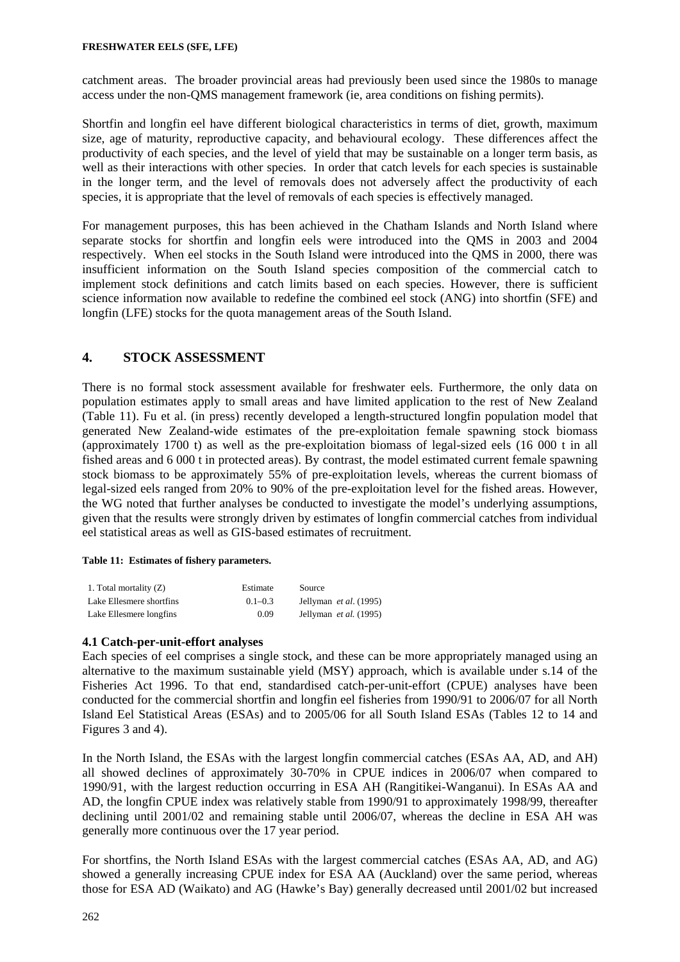catchment areas. The broader provincial areas had previously been used since the 1980s to manage access under the non-QMS management framework (ie, area conditions on fishing permits).

Shortfin and longfin eel have different biological characteristics in terms of diet, growth, maximum size, age of maturity, reproductive capacity, and behavioural ecology. These differences affect the productivity of each species, and the level of yield that may be sustainable on a longer term basis, as well as their interactions with other species. In order that catch levels for each species is sustainable in the longer term, and the level of removals does not adversely affect the productivity of each species, it is appropriate that the level of removals of each species is effectively managed.

For management purposes, this has been achieved in the Chatham Islands and North Island where separate stocks for shortfin and longfin eels were introduced into the QMS in 2003 and 2004 respectively. When eel stocks in the South Island were introduced into the QMS in 2000, there was insufficient information on the South Island species composition of the commercial catch to implement stock definitions and catch limits based on each species. However, there is sufficient science information now available to redefine the combined eel stock (ANG) into shortfin (SFE) and longfin (LFE) stocks for the quota management areas of the South Island.

# **4. STOCK ASSESSMENT**

There is no formal stock assessment available for freshwater eels. Furthermore, the only data on population estimates apply to small areas and have limited application to the rest of New Zealand (Table 11). Fu et al. (in press) recently developed a length-structured longfin population model that generated New Zealand-wide estimates of the pre-exploitation female spawning stock biomass (approximately 1700 t) as well as the pre-exploitation biomass of legal-sized eels (16 000 t in all fished areas and 6 000 t in protected areas). By contrast, the model estimated current female spawning stock biomass to be approximately 55% of pre-exploitation levels, whereas the current biomass of legal-sized eels ranged from 20% to 90% of the pre-exploitation level for the fished areas. However, the WG noted that further analyses be conducted to investigate the model's underlying assumptions, given that the results were strongly driven by estimates of longfin commercial catches from individual eel statistical areas as well as GIS-based estimates of recruitment.

#### **Table 11: Estimates of fishery parameters.**

| 1. Total mortality (Z)   | Estimate    | Source                          |
|--------------------------|-------------|---------------------------------|
| Lake Ellesmere shortfins | $0.1 - 0.3$ | Jellyman <i>et al.</i> $(1995)$ |
| Lake Ellesmere longfins  | 0.09        | Jellyman <i>et al.</i> (1995)   |

# **4.1 Catch-per-unit-effort analyses**

Each species of eel comprises a single stock, and these can be more appropriately managed using an alternative to the maximum sustainable yield (MSY) approach, which is available under s.14 of the Fisheries Act 1996. To that end, standardised catch-per-unit-effort (CPUE) analyses have been conducted for the commercial shortfin and longfin eel fisheries from 1990/91 to 2006/07 for all North Island Eel Statistical Areas (ESAs) and to 2005/06 for all South Island ESAs (Tables 12 to 14 and Figures 3 and 4).

In the North Island, the ESAs with the largest longfin commercial catches (ESAs AA, AD, and AH) all showed declines of approximately 30-70% in CPUE indices in 2006/07 when compared to 1990/91, with the largest reduction occurring in ESA AH (Rangitikei-Wanganui). In ESAs AA and AD, the longfin CPUE index was relatively stable from 1990/91 to approximately 1998/99, thereafter declining until 2001/02 and remaining stable until 2006/07, whereas the decline in ESA AH was generally more continuous over the 17 year period.

For shortfins, the North Island ESAs with the largest commercial catches (ESAs AA, AD, and AG) showed a generally increasing CPUE index for ESA AA (Auckland) over the same period, whereas those for ESA AD (Waikato) and AG (Hawke's Bay) generally decreased until 2001/02 but increased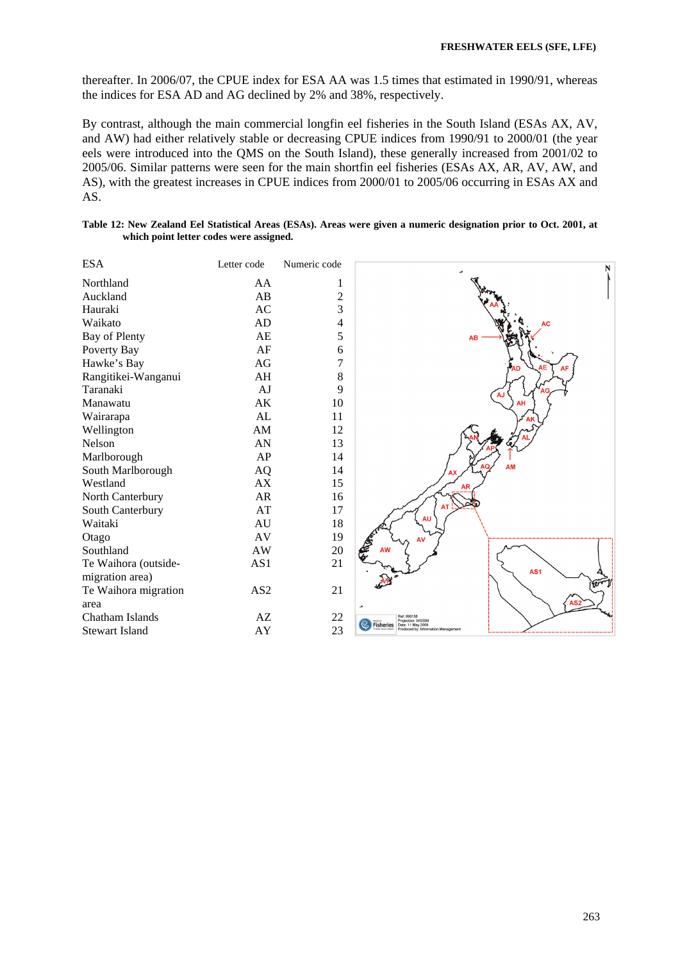thereafter. In 2006/07, the CPUE index for ESA AA was 1.5 times that estimated in 1990/91, whereas the indices for ESA AD and AG declined by 2% and 38%, respectively.

By contrast, although the main commercial longfin eel fisheries in the South Island (ESAs AX, AV, and AW) had either relatively stable or decreasing CPUE indices from 1990/91 to 2000/01 (the year eels were introduced into the QMS on the South Island), these generally increased from 2001/02 to 2005/06. Similar patterns were seen for the main shortfin eel fisheries (ESAs AX, AR, AV, AW, and AS), with the greatest increases in CPUE indices from 2000/01 to 2005/06 occurring in ESAs AX and AS.

| Table 12: New Zealand Eel Statistical Areas (ESAs). Areas were given a numeric designation prior to Oct. 2001, at |  |  |
|-------------------------------------------------------------------------------------------------------------------|--|--|
| which point letter codes were assigned.                                                                           |  |  |

| <b>ESA</b>            | Letter code     | Numeric code |
|-----------------------|-----------------|--------------|
| Northland             | AA              | 1            |
| Auckland              | AB              | 2            |
| Hauraki               | AC              | 3            |
| Waikato               | <b>AD</b>       | 4            |
| Bay of Plenty         | AE              | 5            |
| Poverty Bay           | AF              | 6            |
| Hawke's Bay           | AG              | 7            |
| Rangitikei-Wanganui   | AH              | 8            |
| Taranaki              | AJ              | 9            |
| Manawatu              | AK              | 10           |
| Wairarapa             | AL              | 11           |
| Wellington            | AM              | 12           |
| Nelson                | AN              | 13           |
| Marlborough           | AP              | 14           |
| South Marlborough     | AO              | 14           |
| Westland              | AX              | 15           |
| North Canterbury      | AR              | 16           |
| South Canterbury      | AT              | 17           |
| Waitaki               | AU              | 18           |
| Otago                 | AV              | 19           |
| Southland             | AW              | 20           |
| Te Waihora (outside-  | AS1             | 21           |
| migration area)       |                 |              |
| Te Waihora migration  | AS <sub>2</sub> | 21           |
| area                  |                 |              |
| Chatham Islands       | AZ.             | 22           |
| <b>Stewart Island</b> | AY              | 23           |
|                       |                 |              |

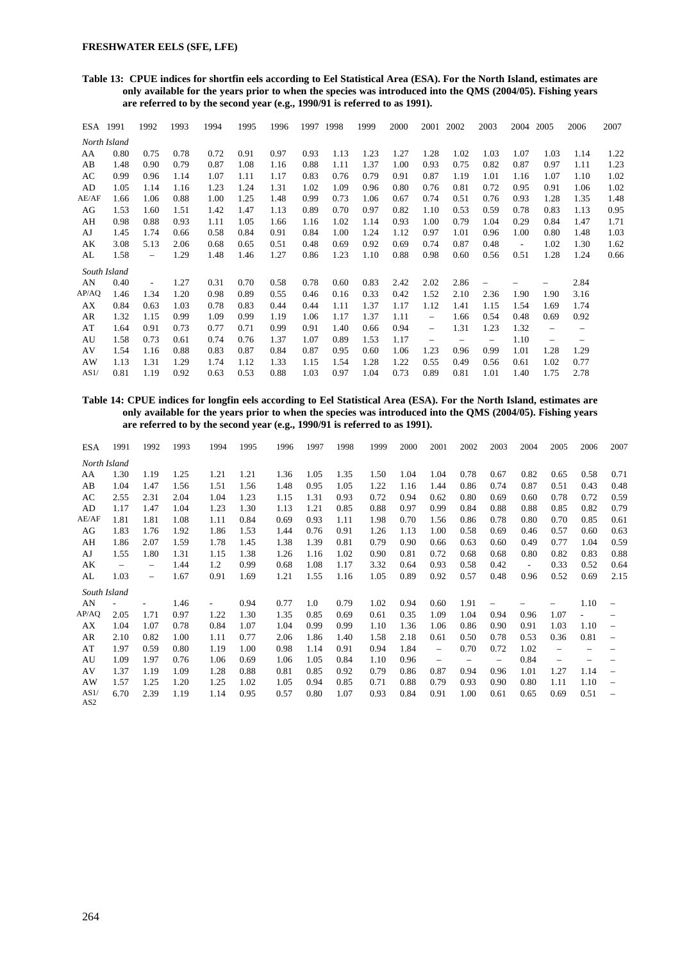**Table 13: CPUE indices for shortfin eels according to Eel Statistical Area (ESA). For the North Island, estimates are only available for the years prior to when the species was introduced into the QMS (2004/05). Fishing years are referred to by the second year (e.g., 1990/91 is referred to as 1991).** 

| ESA 1991 |              | 1992                     | 1993 | 1994 | 1995 | 1996 | 1997 | 1998 | 1999 | 2000 | 2001                     | 2002 | 2003                     | 2004                     | 2005                     | 2006                     | 2007 |
|----------|--------------|--------------------------|------|------|------|------|------|------|------|------|--------------------------|------|--------------------------|--------------------------|--------------------------|--------------------------|------|
|          | North Island |                          |      |      |      |      |      |      |      |      |                          |      |                          |                          |                          |                          |      |
| AA       | 0.80         | 0.75                     | 0.78 | 0.72 | 0.91 | 0.97 | 0.93 | 1.13 | 1.23 | 1.27 | 1.28                     | 1.02 | 1.03                     | 1.07                     | 1.03                     | 1.14                     | 1.22 |
| AB       | 1.48         | 0.90                     | 0.79 | 0.87 | 1.08 | 1.16 | 0.88 | 1.11 | 1.37 | 1.00 | 0.93                     | 0.75 | 0.82                     | 0.87                     | 0.97                     | 1.11                     | 1.23 |
| AC       | 0.99         | 0.96                     | 1.14 | 1.07 | 1.11 | 1.17 | 0.83 | 0.76 | 0.79 | 0.91 | 0.87                     | 1.19 | 1.01                     | 1.16                     | 1.07                     | 1.10                     | 1.02 |
| AD       | 1.05         | 1.14                     | 1.16 | 1.23 | 1.24 | 1.31 | 1.02 | 1.09 | 0.96 | 0.80 | 0.76                     | 0.81 | 0.72                     | 0.95                     | 0.91                     | 1.06                     | 1.02 |
| AE/AF    | 1.66         | 1.06                     | 0.88 | 1.00 | 1.25 | 1.48 | 0.99 | 0.73 | 1.06 | 0.67 | 0.74                     | 0.51 | 0.76                     | 0.93                     | 1.28                     | 1.35                     | 1.48 |
| AG       | 1.53         | 1.60                     | 1.51 | 1.42 | 1.47 | 1.13 | 0.89 | 0.70 | 0.97 | 0.82 | 1.10                     | 0.53 | 0.59                     | 0.78                     | 0.83                     | 1.13                     | 0.95 |
| AH       | 0.98         | 0.88                     | 0.93 | 1.11 | 1.05 | 1.66 | 1.16 | 1.02 | 1.14 | 0.93 | 1.00                     | 0.79 | 1.04                     | 0.29                     | 0.84                     | 1.47                     | 1.71 |
| AJ       | 1.45         | 1.74                     | 0.66 | 0.58 | 0.84 | 0.91 | 0.84 | 1.00 | 1.24 | 1.12 | 0.97                     | 1.01 | 0.96                     | 1.00                     | 0.80                     | 1.48                     | 1.03 |
| AK       | 3.08         | 5.13                     | 2.06 | 0.68 | 0.65 | 0.51 | 0.48 | 0.69 | 0.92 | 0.69 | 0.74                     | 0.87 | 0.48                     | $\overline{\phantom{a}}$ | 1.02                     | 1.30                     | 1.62 |
| AL       | 1.58         | $\overline{\phantom{0}}$ | 1.29 | 1.48 | 1.46 | 1.27 | 0.86 | 1.23 | 1.10 | 0.88 | 0.98                     | 0.60 | 0.56                     | 0.51                     | 1.28                     | 1.24                     | 0.66 |
|          | South Island |                          |      |      |      |      |      |      |      |      |                          |      |                          |                          |                          |                          |      |
| AN       | 0.40         | $\overline{\phantom{a}}$ | 1.27 | 0.31 | 0.70 | 0.58 | 0.78 | 0.60 | 0.83 | 2.42 | 2.02                     | 2.86 | $\qquad \qquad -$        |                          |                          | 2.84                     |      |
| AP/AQ    | 1.46         | 1.34                     | 1.20 | 0.98 | 0.89 | 0.55 | 0.46 | 0.16 | 0.33 | 0.42 | 1.52                     | 2.10 | 2.36                     | 1.90                     | 1.90                     | 3.16                     |      |
| AX       | 0.84         | 0.63                     | 1.03 | 0.78 | 0.83 | 0.44 | 0.44 | 1.11 | 1.37 | 1.17 | 1.12                     | 1.41 | 1.15                     | 1.54                     | 1.69                     | 1.74                     |      |
| AR       | 1.32         | 1.15                     | 0.99 | 1.09 | 0.99 | 1.19 | 1.06 | 1.17 | 1.37 | 1.11 | $\overline{\phantom{0}}$ | 1.66 | 0.54                     | 0.48                     | 0.69                     | 0.92                     |      |
| AT       | 1.64         | 0.91                     | 0.73 | 0.77 | 0.71 | 0.99 | 0.91 | 1.40 | 0.66 | 0.94 | $\overline{\phantom{0}}$ | 1.31 | 1.23                     | 1.32                     | $\overline{\phantom{0}}$ | $\overline{\phantom{0}}$ |      |
| AU       | 1.58         | 0.73                     | 0.61 | 0.74 | 0.76 | 1.37 | 1.07 | 0.89 | 1.53 | 1.17 | $\overline{\phantom{m}}$ |      | $\overline{\phantom{m}}$ | 1.10                     | $\overline{\phantom{0}}$ | $\qquad \qquad -$        |      |
| AV       | 1.54         | 1.16                     | 0.88 | 0.83 | 0.87 | 0.84 | 0.87 | 0.95 | 0.60 | 1.06 | 1.23                     | 0.96 | 0.99                     | 1.01                     | 1.28                     | 1.29                     |      |
| AW       | 1.13         | 1.31                     | 1.29 | 1.74 | 1.12 | 1.33 | 1.15 | 1.54 | 1.28 | 1.22 | 0.55                     | 0.49 | 0.56                     | 0.61                     | 1.02                     | 0.77                     |      |
| AS1/     | 0.81         | 1.19                     | 0.92 | 0.63 | 0.53 | 0.88 | 1.03 | 0.97 | 1.04 | 0.73 | 0.89                     | 0.81 | 1.01                     | 1.40                     | 1.75                     | 2.78                     |      |

**Table 14: CPUE indices for longfin eels according to Eel Statistical Area (ESA). For the North Island, estimates are only available for the years prior to when the species was introduced into the QMS (2004/05). Fishing years are referred to by the second year (e.g., 1990/91 is referred to as 1991).** 

| <b>ESA</b>              | 1991              | 1992 | 1993 | 1994 | 1995 | 1996 | 1997 | 1998 | 1999 | 2000 | 2001                     | 2002                     | 2003                     | 2004                     | 2005                     | 2006              | 2007                     |
|-------------------------|-------------------|------|------|------|------|------|------|------|------|------|--------------------------|--------------------------|--------------------------|--------------------------|--------------------------|-------------------|--------------------------|
| North Island            |                   |      |      |      |      |      |      |      |      |      |                          |                          |                          |                          |                          |                   |                          |
| AA                      | 1.30              | 1.19 | 1.25 | 1.21 | 1.21 | 1.36 | 1.05 | 1.35 | 1.50 | 1.04 | 1.04                     | 0.78                     | 0.67                     | 0.82                     | 0.65                     | 0.58              | 0.71                     |
| AB                      | 1.04              | 1.47 | 1.56 | 1.51 | 1.56 | 1.48 | 0.95 | 1.05 | 1.22 | 1.16 | 1.44                     | 0.86                     | 0.74                     | 0.87                     | 0.51                     | 0.43              | 0.48                     |
| AC                      | 2.55              | 2.31 | 2.04 | 1.04 | 1.23 | 1.15 | 1.31 | 0.93 | 0.72 | 0.94 | 0.62                     | 0.80                     | 0.69                     | 0.60                     | 0.78                     | 0.72              | 0.59                     |
| AD                      | 1.17              | 1.47 | 1.04 | 1.23 | 1.30 | 1.13 | 1.21 | 0.85 | 0.88 | 0.97 | 0.99                     | 0.84                     | 0.88                     | 0.88                     | 0.85                     | 0.82              | 0.79                     |
| AE/AF                   | 1.81              | 1.81 | 1.08 | 1.11 | 0.84 | 0.69 | 0.93 | 1.11 | 1.98 | 0.70 | 1.56                     | 0.86                     | 0.78                     | 0.80                     | 0.70                     | 0.85              | 0.61                     |
| AG                      | 1.83              | 1.76 | 1.92 | 1.86 | 1.53 | 1.44 | 0.76 | 0.91 | 1.26 | 1.13 | 1.00                     | 0.58                     | 0.69                     | 0.46                     | 0.57                     | 0.60              | 0.63                     |
| AH                      | 1.86              | 2.07 | 1.59 | 1.78 | 1.45 | 1.38 | 1.39 | 0.81 | 0.79 | 0.90 | 0.66                     | 0.63                     | 0.60                     | 0.49                     | 0.77                     | 1.04              | 0.59                     |
| AJ                      | 1.55              | 1.80 | 1.31 | 1.15 | 1.38 | 1.26 | 1.16 | 1.02 | 0.90 | 0.81 | 0.72                     | 0.68                     | 0.68                     | 0.80                     | 0.82                     | 0.83              | 0.88                     |
| АK                      | $\qquad \qquad -$ | -    | 1.44 | 1.2  | 0.99 | 0.68 | 1.08 | 1.17 | 3.32 | 0.64 | 0.93                     | 0.58                     | 0.42                     | $\overline{\phantom{a}}$ | 0.33                     | 0.52              | 0.64                     |
| AL                      | 1.03              | Ξ.   | 1.67 | 0.91 | 1.69 | 1.21 | 1.55 | 1.16 | 1.05 | 0.89 | 0.92                     | 0.57                     | 0.48                     | 0.96                     | 0.52                     | 0.69              | 2.15                     |
| South Island            |                   |      |      |      |      |      |      |      |      |      |                          |                          |                          |                          |                          |                   |                          |
| AN                      |                   |      | 1.46 | ٠    | 0.94 | 0.77 | 1.0  | 0.79 | 1.02 | 0.94 | 0.60                     | 1.91                     |                          |                          |                          | 1.10              |                          |
| AP/AQ                   | 2.05              | 1.71 | 0.97 | 1.22 | 1.30 | 1.35 | 0.85 | 0.69 | 0.61 | 0.35 | 1.09                     | 1.04                     | 0.94                     | 0.96                     | 1.07                     | $\overline{a}$    |                          |
| AX                      | 1.04              | 1.07 | 0.78 | 0.84 | 1.07 | 1.04 | 0.99 | 0.99 | 1.10 | 1.36 | 1.06                     | 0.86                     | 0.90                     | 0.91                     | 1.03                     | 1.10              | $\overline{\phantom{0}}$ |
| AR                      | 2.10              | 0.82 | 1.00 | 1.11 | 0.77 | 2.06 | 1.86 | 1.40 | 1.58 | 2.18 | 0.61                     | 0.50                     | 0.78                     | 0.53                     | 0.36                     | 0.81              | $\overline{\phantom{0}}$ |
| AT                      | 1.97              | 0.59 | 0.80 | 1.19 | 1.00 | 0.98 | 1.14 | 0.91 | 0.94 | 1.84 | $\overline{\phantom{0}}$ | 0.70                     | 0.72                     | 1.02                     | $\overline{\phantom{0}}$ | $\qquad \qquad -$ | $\qquad \qquad$          |
| AU                      | 1.09              | 1.97 | 0.76 | 1.06 | 0.69 | 1.06 | 1.05 | 0.84 | 1.10 | 0.96 | $\overline{\phantom{0}}$ | $\overline{\phantom{0}}$ | $\overline{\phantom{0}}$ | 0.84                     | $\overline{\phantom{0}}$ |                   |                          |
| AV                      | 1.37              | 1.19 | 1.09 | 1.28 | 0.88 | 0.81 | 0.85 | 0.92 | 0.79 | 0.86 | 0.87                     | 0.94                     | 0.96                     | 1.01                     | 1.27                     | 1.14              | $\overline{\phantom{0}}$ |
| AW                      | 1.57              | 1.25 | 1.20 | 1.25 | 1.02 | 1.05 | 0.94 | 0.85 | 0.71 | 0.88 | 0.79                     | 0.93                     | 0.90                     | 0.80                     | 1.11                     | 1.10              | $\overline{\phantom{m}}$ |
| AS1/<br>AS <sub>2</sub> | 6.70              | 2.39 | 1.19 | 1.14 | 0.95 | 0.57 | 0.80 | 1.07 | 0.93 | 0.84 | 0.91                     | 1.00                     | 0.61                     | 0.65                     | 0.69                     | 0.51              |                          |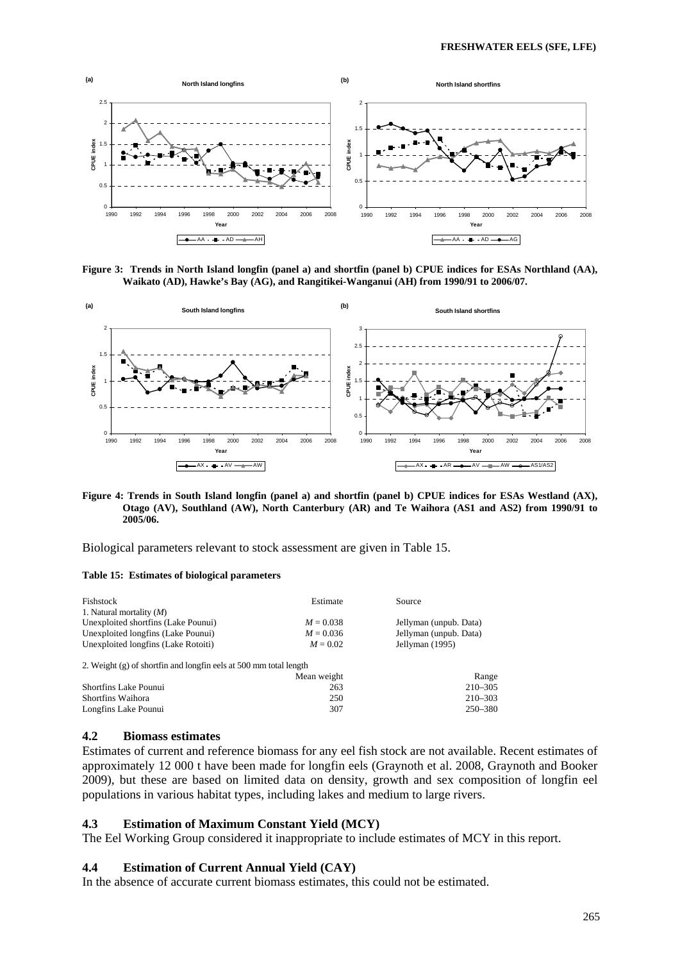

**Figure 3: Trends in North Island longfin (panel a) and shortfin (panel b) CPUE indices for ESAs Northland (AA), Waikato (AD), Hawke's Bay (AG), and Rangitikei-Wanganui (AH) from 1990/91 to 2006/07.** 



**Figure 4: Trends in South Island longfin (panel a) and shortfin (panel b) CPUE indices for ESAs Westland (AX), Otago (AV), Southland (AW), North Canterbury (AR) and Te Waihora (AS1 and AS2) from 1990/91 to 2005/06.** 

Biological parameters relevant to stock assessment are given in Table 15.

#### **Table 15: Estimates of biological parameters**

| Fishstock                                                         | Estimate    | Source                 |
|-------------------------------------------------------------------|-------------|------------------------|
| 1. Natural mortality $(M)$                                        |             |                        |
| Unexploited shortfins (Lake Pounui)                               | $M = 0.038$ | Jellyman (unpub. Data) |
| Unexploited longfins (Lake Pounui)                                | $M = 0.036$ | Jellyman (unpub. Data) |
| Unexploited longfins (Lake Rotoiti)                               | $M = 0.02$  | Jellyman (1995)        |
| 2. Weight (g) of shortfin and longfin eels at 500 mm total length |             |                        |
|                                                                   | Mean weight | Range                  |
| <b>Shortfins Lake Pounui</b>                                      | 263         | $210 - 305$            |
| Shortfins Waihora                                                 | 250         | $210 - 303$            |
| Longfins Lake Pounui                                              | 307         | 250-380                |

### **4.2 Biomass estimates**

Estimates of current and reference biomass for any eel fish stock are not available. Recent estimates of approximately 12 000 t have been made for longfin eels (Graynoth et al. 2008, Graynoth and Booker 2009), but these are based on limited data on density, growth and sex composition of longfin eel populations in various habitat types, including lakes and medium to large rivers.

#### **4.3 Estimation of Maximum Constant Yield (MCY)**

The Eel Working Group considered it inappropriate to include estimates of MCY in this report.

### **4.4 Estimation of Current Annual Yield (CAY)**

In the absence of accurate current biomass estimates, this could not be estimated.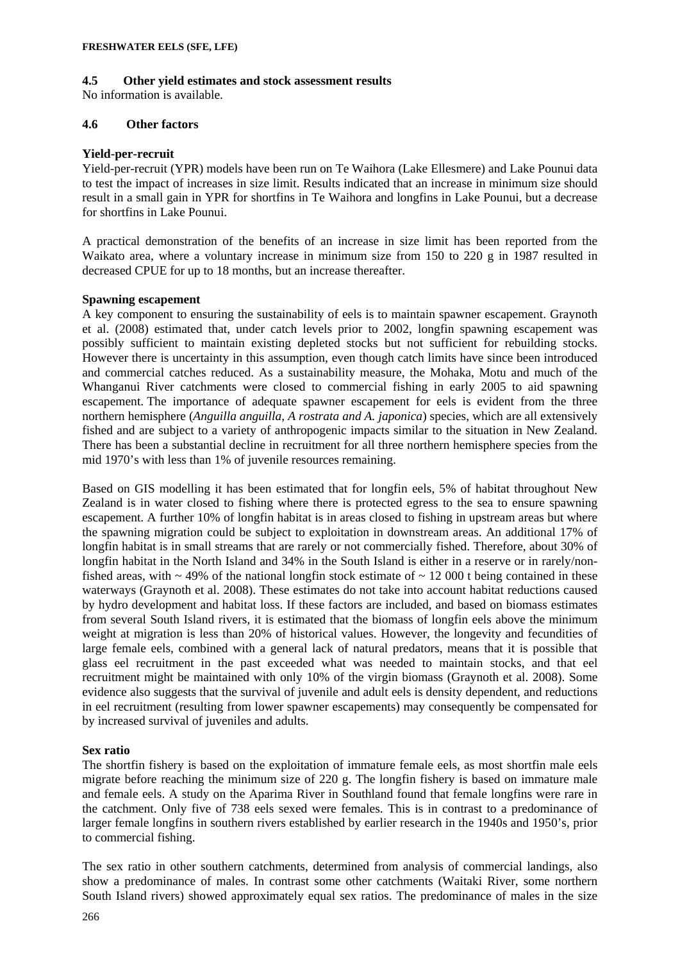### **4.5 Other yield estimates and stock assessment results**

No information is available.

# **4.6 Other factors**

### **Yield-per-recruit**

Yield-per-recruit (YPR) models have been run on Te Waihora (Lake Ellesmere) and Lake Pounui data to test the impact of increases in size limit. Results indicated that an increase in minimum size should result in a small gain in YPR for shortfins in Te Waihora and longfins in Lake Pounui, but a decrease for shortfins in Lake Pounui.

A practical demonstration of the benefits of an increase in size limit has been reported from the Waikato area, where a voluntary increase in minimum size from 150 to 220 g in 1987 resulted in decreased CPUE for up to 18 months, but an increase thereafter.

### **Spawning escapement**

A key component to ensuring the sustainability of eels is to maintain spawner escapement. Graynoth et al. (2008) estimated that, under catch levels prior to 2002, longfin spawning escapement was possibly sufficient to maintain existing depleted stocks but not sufficient for rebuilding stocks. However there is uncertainty in this assumption, even though catch limits have since been introduced and commercial catches reduced. As a sustainability measure, the Mohaka, Motu and much of the Whanganui River catchments were closed to commercial fishing in early 2005 to aid spawning escapement. The importance of adequate spawner escapement for eels is evident from the three northern hemisphere (*Anguilla anguilla, A rostrata and A. japonica*) species, which are all extensively fished and are subject to a variety of anthropogenic impacts similar to the situation in New Zealand. There has been a substantial decline in recruitment for all three northern hemisphere species from the mid 1970's with less than 1% of juvenile resources remaining.

Based on GIS modelling it has been estimated that for longfin eels, 5% of habitat throughout New Zealand is in water closed to fishing where there is protected egress to the sea to ensure spawning escapement. A further 10% of longfin habitat is in areas closed to fishing in upstream areas but where the spawning migration could be subject to exploitation in downstream areas. An additional 17% of longfin habitat is in small streams that are rarely or not commercially fished. Therefore, about 30% of longfin habitat in the North Island and 34% in the South Island is either in a reserve or in rarely/nonfished areas, with  $\sim$  49% of the national longfin stock estimate of  $\sim$  12 000 t being contained in these waterways (Graynoth et al. 2008). These estimates do not take into account habitat reductions caused by hydro development and habitat loss. If these factors are included, and based on biomass estimates from several South Island rivers, it is estimated that the biomass of longfin eels above the minimum weight at migration is less than 20% of historical values. However, the longevity and fecundities of large female eels, combined with a general lack of natural predators, means that it is possible that glass eel recruitment in the past exceeded what was needed to maintain stocks, and that eel recruitment might be maintained with only 10% of the virgin biomass (Graynoth et al. 2008). Some evidence also suggests that the survival of juvenile and adult eels is density dependent, and reductions in eel recruitment (resulting from lower spawner escapements) may consequently be compensated for by increased survival of juveniles and adults.

# **Sex ratio**

The shortfin fishery is based on the exploitation of immature female eels, as most shortfin male eels migrate before reaching the minimum size of 220 g. The longfin fishery is based on immature male and female eels. A study on the Aparima River in Southland found that female longfins were rare in the catchment. Only five of 738 eels sexed were females. This is in contrast to a predominance of larger female longfins in southern rivers established by earlier research in the 1940s and 1950's, prior to commercial fishing.

The sex ratio in other southern catchments, determined from analysis of commercial landings, also show a predominance of males. In contrast some other catchments (Waitaki River, some northern South Island rivers) showed approximately equal sex ratios. The predominance of males in the size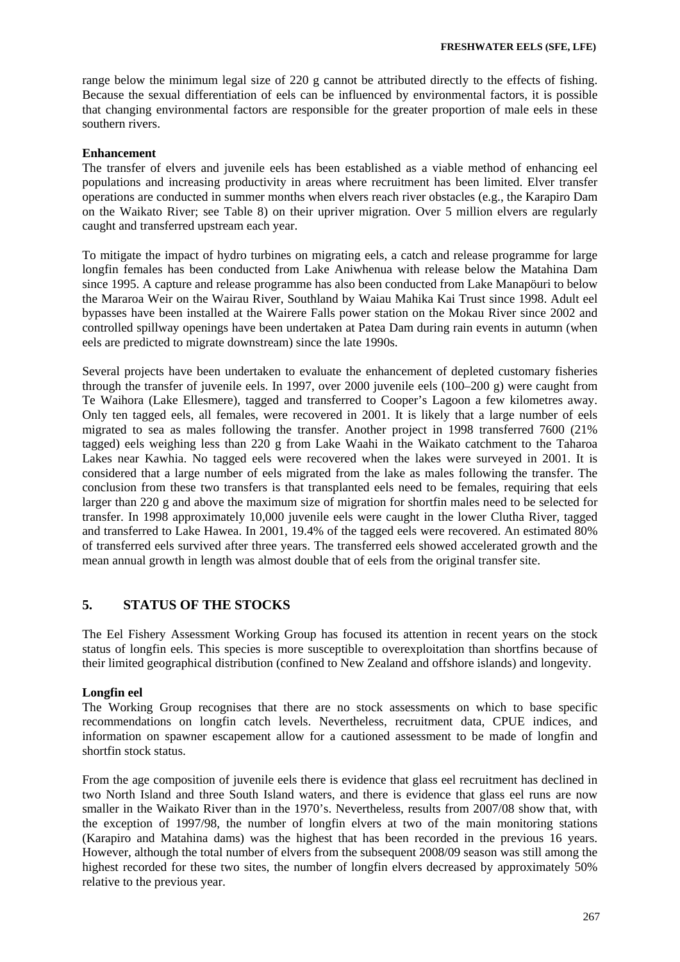range below the minimum legal size of 220 g cannot be attributed directly to the effects of fishing. Because the sexual differentiation of eels can be influenced by environmental factors, it is possible that changing environmental factors are responsible for the greater proportion of male eels in these southern rivers.

### **Enhancement**

The transfer of elvers and juvenile eels has been established as a viable method of enhancing eel populations and increasing productivity in areas where recruitment has been limited. Elver transfer operations are conducted in summer months when elvers reach river obstacles (e.g., the Karapiro Dam on the Waikato River; see Table 8) on their upriver migration. Over 5 million elvers are regularly caught and transferred upstream each year.

To mitigate the impact of hydro turbines on migrating eels, a catch and release programme for large longfin females has been conducted from Lake Aniwhenua with release below the Matahina Dam since 1995. A capture and release programme has also been conducted from Lake Manapöuri to below the Mararoa Weir on the Wairau River, Southland by Waiau Mahika Kai Trust since 1998. Adult eel bypasses have been installed at the Wairere Falls power station on the Mokau River since 2002 and controlled spillway openings have been undertaken at Patea Dam during rain events in autumn (when eels are predicted to migrate downstream) since the late 1990s.

Several projects have been undertaken to evaluate the enhancement of depleted customary fisheries through the transfer of juvenile eels. In 1997, over 2000 juvenile eels (100–200 g) were caught from Te Waihora (Lake Ellesmere), tagged and transferred to Cooper's Lagoon a few kilometres away. Only ten tagged eels, all females, were recovered in 2001. It is likely that a large number of eels migrated to sea as males following the transfer. Another project in 1998 transferred 7600 (21% tagged) eels weighing less than 220 g from Lake Waahi in the Waikato catchment to the Taharoa Lakes near Kawhia. No tagged eels were recovered when the lakes were surveyed in 2001. It is considered that a large number of eels migrated from the lake as males following the transfer. The conclusion from these two transfers is that transplanted eels need to be females, requiring that eels larger than 220 g and above the maximum size of migration for shortfin males need to be selected for transfer. In 1998 approximately 10,000 juvenile eels were caught in the lower Clutha River, tagged and transferred to Lake Hawea. In 2001, 19.4% of the tagged eels were recovered. An estimated 80% of transferred eels survived after three years. The transferred eels showed accelerated growth and the mean annual growth in length was almost double that of eels from the original transfer site.

# **5. STATUS OF THE STOCKS**

The Eel Fishery Assessment Working Group has focused its attention in recent years on the stock status of longfin eels. This species is more susceptible to overexploitation than shortfins because of their limited geographical distribution (confined to New Zealand and offshore islands) and longevity.

# **Longfin eel**

The Working Group recognises that there are no stock assessments on which to base specific recommendations on longfin catch levels. Nevertheless, recruitment data, CPUE indices, and information on spawner escapement allow for a cautioned assessment to be made of longfin and shortfin stock status.

From the age composition of juvenile eels there is evidence that glass eel recruitment has declined in two North Island and three South Island waters, and there is evidence that glass eel runs are now smaller in the Waikato River than in the 1970's. Nevertheless, results from 2007/08 show that, with the exception of 1997/98, the number of longfin elvers at two of the main monitoring stations (Karapiro and Matahina dams) was the highest that has been recorded in the previous 16 years. However, although the total number of elvers from the subsequent 2008/09 season was still among the highest recorded for these two sites, the number of longfin elvers decreased by approximately 50% relative to the previous year.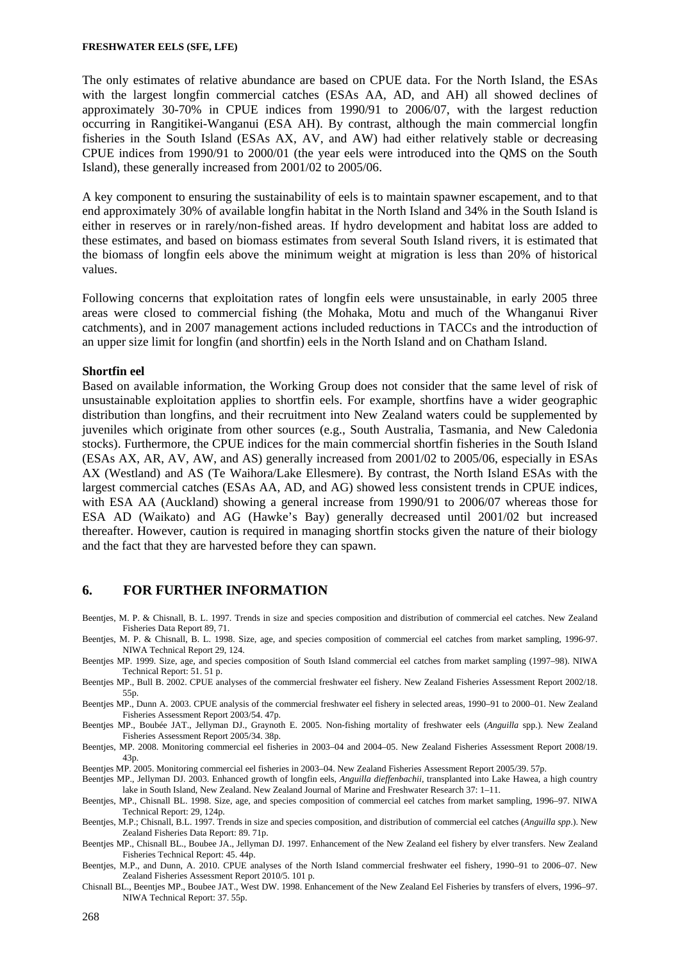The only estimates of relative abundance are based on CPUE data. For the North Island, the ESAs with the largest longfin commercial catches (ESAs AA, AD, and AH) all showed declines of approximately 30-70% in CPUE indices from 1990/91 to 2006/07, with the largest reduction occurring in Rangitikei-Wanganui (ESA AH). By contrast, although the main commercial longfin fisheries in the South Island (ESAs AX, AV, and AW) had either relatively stable or decreasing CPUE indices from 1990/91 to 2000/01 (the year eels were introduced into the QMS on the South Island), these generally increased from 2001/02 to 2005/06.

A key component to ensuring the sustainability of eels is to maintain spawner escapement, and to that end approximately 30% of available longfin habitat in the North Island and 34% in the South Island is either in reserves or in rarely/non-fished areas. If hydro development and habitat loss are added to these estimates, and based on biomass estimates from several South Island rivers, it is estimated that the biomass of longfin eels above the minimum weight at migration is less than 20% of historical values.

Following concerns that exploitation rates of longfin eels were unsustainable, in early 2005 three areas were closed to commercial fishing (the Mohaka, Motu and much of the Whanganui River catchments), and in 2007 management actions included reductions in TACCs and the introduction of an upper size limit for longfin (and shortfin) eels in the North Island and on Chatham Island.

### **Shortfin eel**

Based on available information, the Working Group does not consider that the same level of risk of unsustainable exploitation applies to shortfin eels. For example, shortfins have a wider geographic distribution than longfins, and their recruitment into New Zealand waters could be supplemented by juveniles which originate from other sources (e.g., South Australia, Tasmania, and New Caledonia stocks). Furthermore, the CPUE indices for the main commercial shortfin fisheries in the South Island (ESAs AX, AR, AV, AW, and AS) generally increased from 2001/02 to 2005/06, especially in ESAs AX (Westland) and AS (Te Waihora/Lake Ellesmere). By contrast, the North Island ESAs with the largest commercial catches (ESAs AA, AD, and AG) showed less consistent trends in CPUE indices, with ESA AA (Auckland) showing a general increase from 1990/91 to 2006/07 whereas those for ESA AD (Waikato) and AG (Hawke's Bay) generally decreased until 2001/02 but increased thereafter. However, caution is required in managing shortfin stocks given the nature of their biology and the fact that they are harvested before they can spawn.

### **6. FOR FURTHER INFORMATION**

- Beentjes, M. P. & Chisnall, B. L. 1997. Trends in size and species composition and distribution of commercial eel catches. New Zealand Fisheries Data Report 89, 71.
- Beentjes, M. P. & Chisnall, B. L. 1998. Size, age, and species composition of commercial eel catches from market sampling, 1996-97. NIWA Technical Report 29, 124.
- Beentjes MP. 1999. Size, age, and species composition of South Island commercial eel catches from market sampling (1997–98). NIWA Technical Report: 51. 51 p.
- Beentjes MP., Bull B. 2002. CPUE analyses of the commercial freshwater eel fishery. New Zealand Fisheries Assessment Report 2002/18. 55p.
- Beentjes MP., Dunn A. 2003. CPUE analysis of the commercial freshwater eel fishery in selected areas, 1990–91 to 2000–01. New Zealand Fisheries Assessment Report 2003/54. 47p.
- Beentjes MP., Boubée JAT., Jellyman DJ., Graynoth E. 2005. Non-fishing mortality of freshwater eels (*Anguilla* spp.). New Zealand Fisheries Assessment Report 2005/34. 38p.
- Beentjes, MP. 2008. Monitoring commercial eel fisheries in 2003–04 and 2004–05. New Zealand Fisheries Assessment Report 2008/19. 43p.

Beentjes MP. 2005. Monitoring commercial eel fisheries in 2003–04. New Zealand Fisheries Assessment Report 2005/39. 57p.

Beentjes MP., Jellyman DJ. 2003. Enhanced growth of longfin eels, *Anguilla dieffenbachii*, transplanted into Lake Hawea, a high country lake in South Island, New Zealand. New Zealand Journal of Marine and Freshwater Research 37: 1–11.

Beentjes, MP., Chisnall BL. 1998. Size, age, and species composition of commercial eel catches from market sampling, 1996–97. NIWA Technical Report: 29, 124p.

- Beentjes, M.P.; Chisnall, B.L. 1997. Trends in size and species composition, and distribution of commercial eel catches (*Anguilla spp*.). New Zealand Fisheries Data Report: 89. 71p.
- Beentjes MP., Chisnall BL., Boubee JA., Jellyman DJ. 1997. Enhancement of the New Zealand eel fishery by elver transfers. New Zealand Fisheries Technical Report: 45. 44p.
- Beentjes, M.P., and Dunn, A. 2010. CPUE analyses of the North Island commercial freshwater eel fishery, 1990–91 to 2006–07. New Zealand Fisheries Assessment Report 2010/5. 101 p.
- Chisnall BL., Beentjes MP., Boubee JAT., West DW. 1998. Enhancement of the New Zealand Eel Fisheries by transfers of elvers, 1996–97. NIWA Technical Report: 37. 55p.